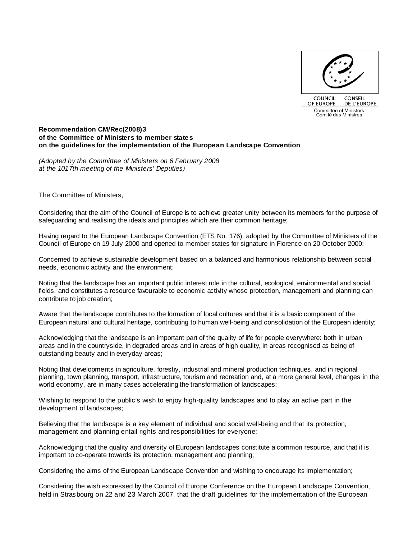

#### **Recommendation CM/Rec(2008)3 of the Committee of Ministers to member states on the guidelines for the implementation of the European Landscape Convention**

(Adopted by the Committee of Ministers on 6 February 2008 at the 1017th meeting of the Ministers' Deputies)

The Committee of Ministers,

Considering that the aim of the Council of Europe is to achieve greater unity between its members for the purpose of safeguarding and realising the ideals and principles which are their common heritage;

Having regard to the European Landscape Convention (ETS No. 176), adopted by the Committee of Ministers of the Council of Europe on 19 July 2000 and opened to member states for signature in Florence on 20 October 2000;

Concerned to achieve sustainable development based on a balanced and harmonious relationship between social needs, economic activity and the environment;

Noting that the landscape has an important public interest role in the cultural, ecological, environmental and social fields, and constitutes a resource favourable to economic activity whose protection, management and planning can contribute to job creation;

Aware that the landscape contributes to the formation of local cultures and that it is a basic component of the European natural and cultural heritage, contributing to human well-being and consolidation of the European identity;

Acknowledging that the landscape is an important part of the quality of life for people everywhere: both in urban areas and in the countryside, in degraded areas and in areas of high quality, in areas recognised as being of outstanding beauty and in everyday areas;

Noting that developments in agriculture, forestry, industrial and mineral production techniques, and in regional planning, town planning, transport, infrastructure, tourism and recreation and, at a more general level, changes in the world economy, are in many cases accelerating the transformation of landscapes;

Wishing to respond to the public's wish to enjoy high-quality landscapes and to play an active part in the development of landscapes;

Believing that the landscape is a key element of individual and social well-being and that its protection, management and planning entail rights and responsibilities for everyone;

Acknowledging that the quality and diversity of European landscapes constitute a common resource, and that it is important to co-operate towards its protection, management and planning;

Considering the aims of the European Landscape Convention and wishing to encourage its implementation;

Considering the wish expressed by the Council of Europe Conference on the European Landscape Convention, held in Strasbourg on 22 and 23 March 2007, that the draft guidelines for the implementation of the European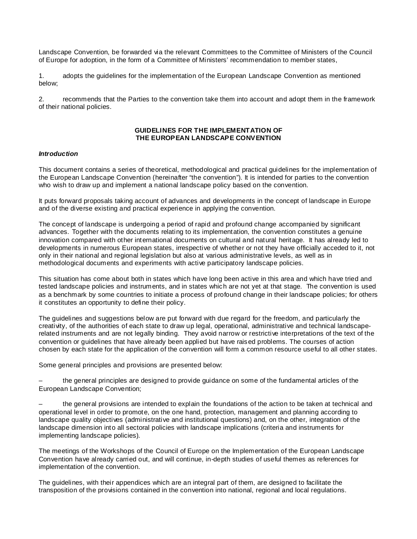Landscape Convention, be forwarded via the relevant Committees to the Committee of Ministers of the Council of Europe for adoption, in the form of a Committee of Ministers' recommendation to member states,

1. adopts the guidelines for the implementation of the European Landscape Convention as mentioned below;

2. recommends that the Parties to the convention take them into account and adopt them in the framework of their national policies.

### **GUIDELINES FOR THE IMPLEMENTATION OF THE EUROPEAN LANDSCAPE CONVENTION**

### **Introduction**

This document contains a series of theoretical, methodological and practical guidelines for the implementation of the European Landscape Convention (hereinafter "the convention"). It is intended for parties to the convention who wish to draw up and implement a national landscape policy based on the convention.

It puts forward proposals taking account of advances and developments in the concept of landscape in Europe and of the diverse existing and practical experience in applying the convention.

The concept of landscape is undergoing a period of rapid and profound change accompanied by significant advances. Together with the documents relating to its implementation, the convention constitutes a genuine innovation compared with other international documents on cultural and natural heritage. It has already led to developments in numerous European states, irrespective of whether or not they have officially acceded to it, not only in their national and regional legislation but also at various administrative levels, as well as in methodological documents and experiments with active participatory landscape policies.

This situation has come about both in states which have long been active in this area and which have tried and tested landscape policies and instruments, and in states which are not yet at that stage. The convention is used as a benchmark by some countries to initiate a process of profound change in their landscape policies; for others it constitutes an opportunity to define their policy.

The guidelines and suggestions below are put forward with due regard for the freedom, and particularly the creativity, of the authorities of each state to draw up legal, operational, administrative and technical landscaperelated instruments and are not legally binding. They avoid narrow or restrictive interpretations of the text of the convention or guidelines that have already been applied but have raised problems. The courses of action chosen by each state for the application of the convention will form a common resource useful to all other states.

Some general principles and provisions are presented below:

 – the general principles are designed to provide guidance on some of the fundamental articles of the European Landscape Convention;

– the general provisions are intended to explain the foundations of the action to be taken at technical and operational level in order to promote, on the one hand, protection, management and planning according to landscape quality objectives (administrative and institutional questions) and, on the other, integration of the landscape dimension into all sectoral policies with landscape implications (criteria and instruments for implementing landscape policies).

The meetings of the Workshops of the Council of Europe on the Implementation of the European Landscape Convention have already carried out, and will continue, in-depth studies of useful themes as references for implementation of the convention.

The guidelines, with their appendices which are an integral part of them, are designed to facilitate the transposition of the provisions contained in the convention into national, regional and local regulations.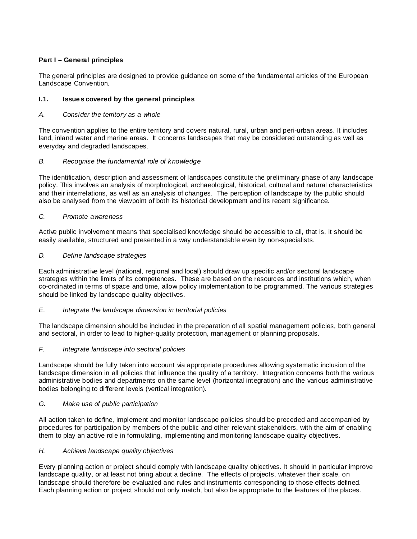# **Part I – General principles**

The general principles are designed to provide guidance on some of the fundamental articles of the European Landscape Convention.

# **I.1. Issues covered by the general principles**

# A. Consider the territory as a whole

The convention applies to the entire territory and covers natural, rural, urban and peri-urban areas. It includes land, inland water and marine areas. It concerns landscapes that may be considered outstanding as well as everyday and degraded landscapes.

# B. Recognise the fundamental role of knowledge

The identification, description and assessment of landscapes constitute the preliminary phase of any landscape policy. This involves an analysis of morphological, archaeological, historical, cultural and natural characteristics and their interrelations, as well as an analysis of changes. The perception of landscape by the public should also be analysed from the viewpoint of both its historical development and its recent significance.

# C. Promote awareness

Active public involvement means that specialised knowledge should be accessible to all, that is, it should be easily available, structured and presented in a way understandable even by non-specialists.

# D. Define landscape strategies

Each administrative level (national, regional and local) should draw up specific and/or sectoral landscape strategies within the limits of its competences. These are based on the resources and institutions which, when co-ordinated in terms of space and time, allow policy implementation to be programmed. The various strategies should be linked by landscape quality objectives.

# E. Integrate the landscape dimension in territorial policies

The landscape dimension should be included in the preparation of all spatial management policies, both general and sectoral, in order to lead to higher-quality protection, management or planning proposals.

# F. Integrate landscape into sectoral policies

Landscape should be fully taken into account via appropriate procedures allowing systematic inclusion of the landscape dimension in all policies that influence the quality of a territory. Integration concerns both the various administrative bodies and departments on the same level (horizontal integration) and the various administrative bodies belonging to different levels (vertical integration).

# G. Make use of public participation

All action taken to define, implement and monitor landscape policies should be preceded and accompanied by procedures for participation by members of the public and other relevant stakeholders, with the aim of enabling them to play an active role in formulating, implementing and monitoring landscape quality objectives.

# H. Achieve landscape quality objectives

Every planning action or project should comply with landscape quality objectives. It should in particular improve landscape quality, or at least not bring about a decline. The effects of projects, whatever their scale, on landscape should therefore be evaluated and rules and instruments corresponding to those effects defined. Each planning action or project should not only match, but also be appropriate to the features of the places.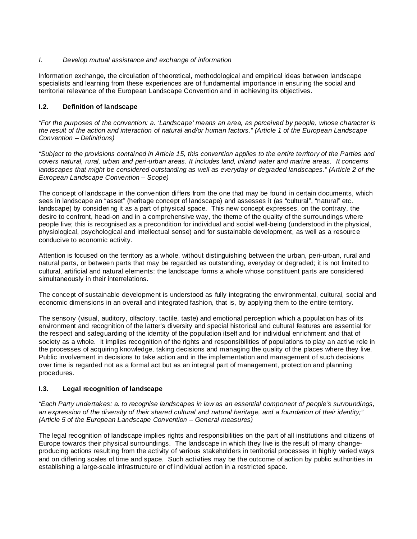### I. Develop mutual assistance and exchange of information

Information exchange, the circulation of theoretical, methodological and empirical ideas between landscape specialists and learning from these experiences are of fundamental importance in ensuring the social and territorial relevance of the European Landscape Convention and in achieving its objectives.

# **I.2. Definition of landscape**

"For the purposes of the convention: a. 'Landscape' means an area, as perceived by people, whose character is the result of the action and interaction of natural and/or human factors." (Article 1 of the European Landscape Convention – Definitions)

"Subject to the provisions contained in Article 15, this convention applies to the entire territory of the Parties and covers natural, rural, urban and peri-urban areas. It includes land, inland water and marine areas. It concerns landscapes that might be considered outstanding as well as everyday or degraded landscapes." (Article 2 of the European Landscape Convention – Scope)

The concept of landscape in the convention differs from the one that may be found in certain documents, which sees in landscape an "asset" (heritage concept of landscape) and assesses it (as "cultural", "natural" etc. landscape) by considering it as a part of physical space. This new concept expresses, on the contrary, the desire to confront, head-on and in a comprehensive way, the theme of the quality of the surroundings where people live; this is recognised as a precondition for individual and social well-being (understood in the physical, physiological, psychological and intellectual sense) and for sustainable development, as well as a resource conducive to economic activity.

Attention is focused on the territory as a whole, without distinguishing between the urban, peri-urban, rural and natural parts, or between parts that may be regarded as outstanding, everyday or degraded; it is not limited to cultural, artificial and natural elements: the landscape forms a whole whose constituent parts are considered simultaneously in their interrelations.

The concept of sustainable development is understood as fully integrating the environmental, cultural, social and economic dimensions in an overall and integrated fashion, that is, by applying them to the entire territory.

The sensory (visual, auditory, olfactory, tactile, taste) and emotional perception which a population has of its environment and recognition of the latter's diversity and special historical and cultural features are essential for the respect and safeguarding of the identity of the population itself and for individual enrichment and that of society as a whole. It implies recognition of the rights and responsibilities of populations to play an active role in the processes of acquiring knowledge, taking decisions and managing the quality of the places where they live. Public involvement in decisions to take action and in the implementation and management of such decisions over time is regarded not as a formal act but as an integral part of management, protection and planning procedures.

### **I.3. Legal recognition of landscape**

"Each Party undertakes: a. to recognise landscapes in law as an essential component of people's surroundings, an expression of the diversity of their shared cultural and natural heritage, and a foundation of their identity;" (Article 5 of the European Landscape Convention – General measures)

The legal recognition of landscape implies rights and responsibilities on the part of all institutions and citizens of Europe towards their physical surroundings. The landscape in which they live is the result of many changeproducing actions resulting from the activity of various stakeholders in territorial processes in highly varied ways and on differing scales of time and space. Such activities may be the outcome of action by public authorities in establishing a large-scale infrastructure or of individual action in a restricted space.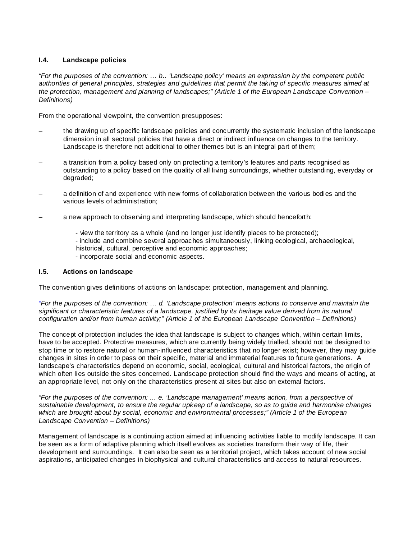# **I.4. Landscape policies**

"For the purposes of the convention:  $\dots$  b.. 'Landscape policy' means an expression by the competent public authorities of general principles, strategies and guidelines that permit the taking of specific measures aimed at the protection, management and planning of landscapes;" (Article 1 of the European Landscape Convention – Definitions)

From the operational viewpoint, the convention presupposes:

- the drawing up of specific landscape policies and concurrently the systematic inclusion of the landscape dimension in all sectoral policies that have a direct or indirect influence on changes to the territory. Landscape is therefore not additional to other themes but is an integral part of them;
- a transition from a policy based only on protecting a territory's features and parts recognised as outstanding to a policy based on the quality of all living surroundings, whether outstanding, everyday or degraded;
- a definition of and experience with new forms of collaboration between the various bodies and the various levels of administration;
- a new approach to observing and interpreting landscape, which should henceforth:
	- view the territory as a whole (and no longer just identify places to be protected);
	- include and combine several approaches simultaneously, linking ecological, archaeological,
	- historical, cultural, perceptive and economic approaches;
	- incorporate social and economic aspects.

### **I.5. Actions on landscape**

The convention gives definitions of actions on landscape: protection, management and planning.

"For the purposes of the convention: … d. 'Landscape protection' means actions to conserve and maintain the significant or characteristic features of a landscape, justified by its heritage value derived from its natural configuration and/or from human activity;" (Article 1 of the European Landscape Convention – Definitions)

The concept of protection includes the idea that landscape is subject to changes which, within certain limits, have to be accepted. Protective measures, which are currently being widely trialled, should not be designed to stop time or to restore natural or human-influenced characteristics that no longer exist; however, they may guide changes in sites in order to pass on their specific, material and immaterial features to future generations. A landscape's characteristics depend on economic, social, ecological, cultural and historical factors, the origin of which often lies outside the sites concerned. Landscape protection should find the ways and means of acting, at an appropriate level, not only on the characteristics present at sites but also on external factors.

"For the purposes of the convention: ... e. 'Landscape management' means action, from a perspective of sustainable development, to ensure the regular upkeep of a landscape, so as to guide and harmonise changes which are brought about by social, economic and environmental processes;" (Article 1 of the European Landscape Convention – Definitions)

Management of landscape is a continuing action aimed at influencing activities liable to modify landscape. It can be seen as a form of adaptive planning which itself evolves as societies transform their way of life, their development and surroundings. It can also be seen as a territorial project, which takes account of new social aspirations, anticipated changes in biophysical and cultural characteristics and access to natural resources.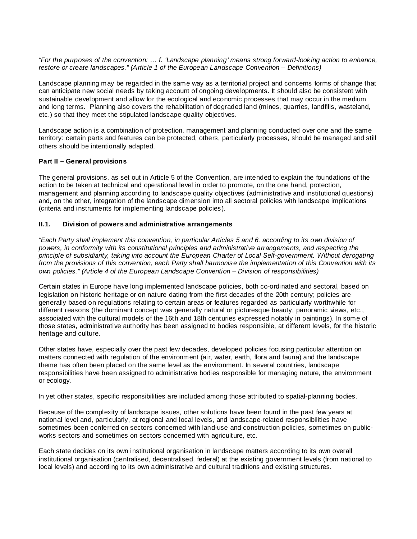"For the purposes of the convention: … f. 'Landscape planning' means strong forward-looking action to enhance, restore or create landscapes." (Article 1 of the European Landscape Convention – Definitions)

Landscape planning may be regarded in the same way as a territorial project and concerns forms of change that can anticipate new social needs by taking account of ongoing developments. It should also be consistent with sustainable development and allow for the ecological and economic processes that may occur in the medium and long terms. Planning also covers the rehabilitation of degraded land (mines, quarries, landfills, wasteland, etc.) so that they meet the stipulated landscape quality objectives.

Landscape action is a combination of protection, management and planning conducted over one and the same territory: certain parts and features can be protected, others, particularly processes, should be managed and still others should be intentionally adapted.

### **Part II – General provisions**

The general provisions, as set out in Article 5 of the Convention, are intended to explain the foundations of the action to be taken at technical and operational level in order to promote, on the one hand, protection, management and planning according to landscape quality objectives (administrative and institutional questions) and, on the other, integration of the landscape dimension into all sectoral policies with landscape implications (criteria and instruments for implementing landscape policies).

### **II.1. Division of powers and administrative arrangements**

"Each Party shall implement this convention, in particular Articles 5 and 6, according to its own division of powers, in conformity with its constitutional principles and administrative arrangements, and respecting the principle of subsidiarity, taking into account the European Charter of Local Self-government. Without derogating from the provisions of this convention, each Party shall harmonise the implementation of this Convention with its own policies." (Article 4 of the European Landscape Convention – Division of responsibilities)

Certain states in Europe have long implemented landscape policies, both co-ordinated and sectoral, based on legislation on historic heritage or on nature dating from the first decades of the 20th century; policies are generally based on regulations relating to certain areas or features regarded as particularly worthwhile for different reasons (the dominant concept was generally natural or picturesque beauty, panoramic views, etc., associated with the cultural models of the 16th and 18th centuries expressed notably in paintings). In some of those states, administrative authority has been assigned to bodies responsible, at different levels, for the historic heritage and culture.

Other states have, especially over the past few decades, developed policies focusing particular attention on matters connected with regulation of the environment (air, water, earth, flora and fauna) and the landscape theme has often been placed on the same level as the environment. In several countries, landscape responsibilities have been assigned to administrative bodies responsible for managing nature, the environment or ecology.

In yet other states, specific responsibilities are included among those attributed to spatial-planning bodies.

Because of the complexity of landscape issues, other solutions have been found in the past few years at national level and, particularly, at regional and local levels, and landscape-related responsibilities have sometimes been conferred on sectors concerned with land-use and construction policies, sometimes on publicworks sectors and sometimes on sectors concerned with agriculture, etc.

Each state decides on its own institutional organisation in landscape matters according to its own overall institutional organisation (centralised, decentralised, federal) at the existing government levels (from national to local levels) and according to its own administrative and cultural traditions and existing structures.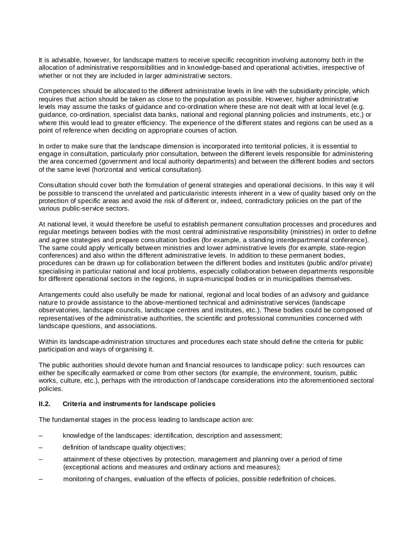It is advisable, however, for landscape matters to receive specific recognition involving autonomy both in the allocation of administrative responsibilities and in knowledge-based and operational activities, irrespective of whether or not they are included in larger administrative sectors.

Competences should be allocated to the different administrative levels in line with the subsidiarity principle, which requires that action should be taken as close to the population as possible. However, higher administrative levels may assume the tasks of guidance and co-ordination where these are not dealt with at local level (e.g. guidance, co-ordination, specialist data banks, national and regional planning policies and instruments, etc.) or where this would lead to greater efficiency. The experience of the different states and regions can be used as a point of reference when deciding on appropriate courses of action.

In order to make sure that the landscape dimension is incorporated into territorial policies, it is essential to engage in consultation, particularly prior consultation, between the different levels responsible for administering the area concerned (government and local authority departments) and between the different bodies and sectors of the same level (horizontal and vertical consultation).

Consultation should cover both the formulation of general strategies and operational decisions. In this way it will be possible to transcend the unrelated and particularistic interests inherent in a view of quality based only on the protection of specific areas and avoid the risk of different or, indeed, contradictory policies on the part of the various public-service sectors.

At national level, it would therefore be useful to establish permanent consultation processes and procedures and regular meetings between bodies with the most central administrative responsibility (ministries) in order to define and agree strategies and prepare consultation bodies (for example, a standing interdepartmental conference). The same could apply vertically between ministries and lower administrative levels (for example, state-region conferences) and also within the different administrative levels. In addition to these permanent bodies, procedures can be drawn up for collaboration between the different bodies and institutes (public and/or private) specialising in particular national and local problems, especially collaboration between departments responsible for different operational sectors in the regions, in supra-municipal bodies or in municipalities themselves.

Arrangements could also usefully be made for national, regional and local bodies of an advisory and guidance nature to provide assistance to the above-mentioned technical and administrative services (landscape observatories, landscape councils, landscape centres and institutes, etc.). These bodies could be composed of representatives of the administrative authorities, the scientific and professional communities concerned with landscape questions, and associations.

Within its landscape-administration structures and procedures each state should define the criteria for public participation and ways of organising it.

The public authorities should devote human and financial resources to landscape policy: such resources can either be specifically earmarked or come from other sectors (for example, the environment, tourism, public works, culture, etc.), perhaps with the introduction of landscape considerations into the aforementioned sectoral policies.

#### **II.2. Criteria and instruments for landscape policies**

The fundamental stages in the process leading to landscape action are:

- knowledge of the landscapes: identification, description and assessment;
- definition of landscape quality objectives;
- attainment of these objectives by protection, management and planning over a period of time (exceptional actions and measures and ordinary actions and measures);
- monitoring of changes, evaluation of the effects of policies, possible redefinition of choices.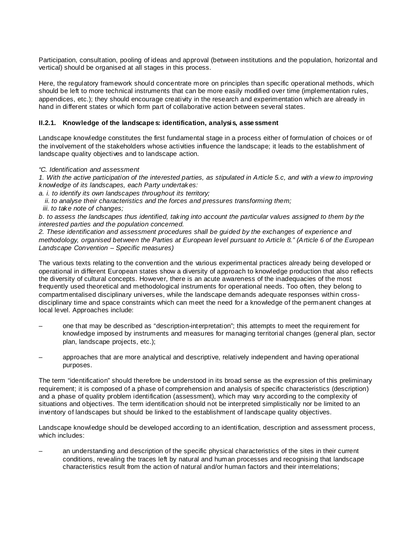Participation, consultation, pooling of ideas and approval (between institutions and the population, horizontal and vertical) should be organised at all stages in this process.

Here, the regulatory framework should concentrate more on principles than specific operational methods, which should be left to more technical instruments that can be more easily modified over time (implementation rules, appendices, etc.); they should encourage creativity in the research and experimentation which are already in hand in different states or which form part of collaborative action between several states.

### **II.2.1. Knowledge of the landscapes: identification, analysis, assessment**

Landscape knowledge constitutes the first fundamental stage in a process either of formulation of choices or of the involvement of the stakeholders whose activities influence the landscape; it leads to the establishment of landscape quality objectives and to landscape action.

### "C. Identification and assessment

1. With the active participation of the interested parties, as stipulated in Article 5.c, and with a view to improving knowledge of its landscapes, each Party undertakes:

a. i. to identify its own landscapes throughout its territory;

ii. to analyse their characteristics and the forces and pressures transforming them;

iii. to take note of changes;

b. to assess the landscapes thus identified, taking into account the particular values assigned to them by the interested parties and the population concerned.

2. These identification and assessment procedures shall be guided by the exchanges of experience and methodology, organised between the Parties at European level pursuant to Article 8." (Article 6 of the European Landscape Convention – Specific measures)

The various texts relating to the convention and the various experimental practices already being developed or operational in different European states show a diversity of approach to knowledge production that also reflects the diversity of cultural concepts. However, there is an acute awareness of the inadequacies of the most frequently used theoretical and methodological instruments for operational needs. Too often, they belong to compartmentalised disciplinary universes, while the landscape demands adequate responses within crossdisciplinary time and space constraints which can meet the need for a knowledge of the permanent changes at local level. Approaches include:

- one that may be described as "description-interpretation"; this attempts to meet the requirement for knowledge imposed by instruments and measures for managing territorial changes (general plan, sector plan, landscape projects, etc.);
- approaches that are more analytical and descriptive, relatively independent and having operational purposes.

The term "identification" should therefore be understood in its broad sense as the expression of this preliminary requirement; it is composed of a phase of comprehension and analysis of specific characteristics (description) and a phase of quality problem identification (assessment), which may vary according to the complexity of situations and objectives. The term identification should not be interpreted simplistically nor be limited to an inventory of landscapes but should be linked to the establishment of landscape quality objectives.

Landscape knowledge should be developed according to an identification, description and assessment process, which includes:

– an understanding and description of the specific physical characteristics of the sites in their current conditions, revealing the traces left by natural and human processes and recognising that landscape characteristics result from the action of natural and/or human factors and their interrelations;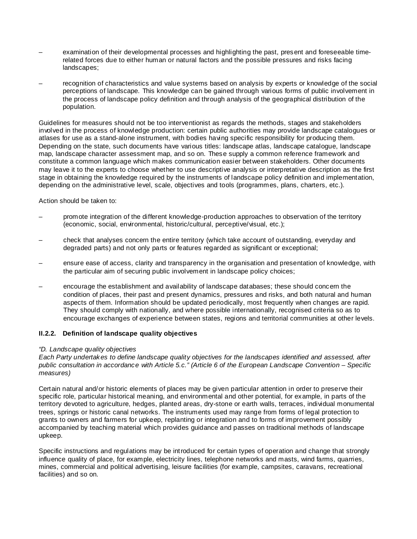- examination of their developmental processes and highlighting the past, present and foreseeable timerelated forces due to either human or natural factors and the possible pressures and risks facing landscapes;
- recognition of characteristics and value systems based on analysis by experts or knowledge of the social perceptions of landscape. This knowledge can be gained through various forms of public involvement in the process of landscape policy definition and through analysis of the geographical distribution of the population.

Guidelines for measures should not be too interventionist as regards the methods, stages and stakeholders involved in the process of knowledge production: certain public authorities may provide landscape catalogues or atlases for use as a stand-alone instrument, with bodies having specific responsibility for producing them. Depending on the state, such documents have various titles: landscape atlas, landscape catalogue, landscape map, landscape character assessment map, and so on. These supply a common reference framework and constitute a common language which makes communication easier between stakeholders. Other documents may leave it to the experts to choose whether to use descriptive analysis or interpretative description as the first stage in obtaining the knowledge required by the instruments of landscape policy definition and implementation, depending on the administrative level, scale, objectives and tools (programmes, plans, charters, etc.).

Action should be taken to:

- promote integration of the different knowledge-production approaches to observation of the territory (economic, social, environmental, historic/cultural, perceptive/visual, etc.);
- check that analyses concern the entire territory (which take account of outstanding, everyday and degraded parts) and not only parts or features regarded as significant or exceptional;
- ensure ease of access, clarity and transparency in the organisation and presentation of knowledge, with the particular aim of securing public involvement in landscape policy choices;
- encourage the establishment and availability of landscape databases; these should concern the condition of places, their past and present dynamics, pressures and risks, and both natural and human aspects of them. Information should be updated periodically, most frequently when changes are rapid. They should comply with nationally, and where possible internationally, recognised criteria so as to encourage exchanges of experience between states, regions and territorial communities at other levels.

# **II.2.2. Definition of landscape quality objectives**

### "D. Landscape quality objectives

Each Party undertakes to define landscape quality objectives for the landscapes identified and assessed, after public consultation in accordance with Article 5.c." (Article 6 of the European Landscape Convention – Specific measures)

Certain natural and/or historic elements of places may be given particular attention in order to preserve their specific role, particular historical meaning, and environmental and other potential, for example, in parts of the territory devoted to agriculture, hedges, planted areas, dry-stone or earth walls, terraces, individual monumental trees, springs or historic canal networks. The instruments used may range from forms of legal protection to grants to owners and farmers for upkeep, replanting or integration and to forms of improvement possibly accompanied by teaching material which provides guidance and passes on traditional methods of landscape upkeep.

Specific instructions and regulations may be introduced for certain types of operation and change that strongly influence quality of place, for example, electricity lines, telephone networks and masts, wind farms, quarries, mines, commercial and political advertising, leisure facilities (for example, campsites, caravans, recreational facilities) and so on.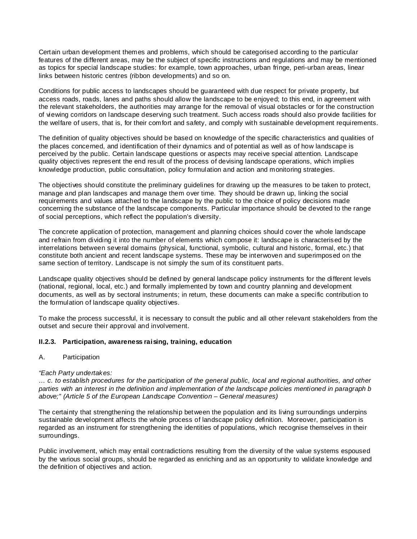Certain urban development themes and problems, which should be categorised according to the particular features of the different areas, may be the subject of specific instructions and regulations and may be mentioned as topics for special landscape studies: for example, town approaches, urban fringe, peri-urban areas, linear links between historic centres (ribbon developments) and so on.

Conditions for public access to landscapes should be guaranteed with due respect for private property, but access roads, roads, lanes and paths should allow the landscape to be enjoyed; to this end, in agreement with the relevant stakeholders, the authorities may arrange for the removal of visual obstacles or for the construction of viewing corridors on landscape deserving such treatment. Such access roads should also provide facilities for the welfare of users, that is, for their comfort and safety, and comply with sustainable development requirements.

The definition of quality objectives should be based on knowledge of the specific characteristics and qualities of the places concerned, and identification of their dynamics and of potential as well as of how landscape is perceived by the public. Certain landscape questions or aspects may receive special attention. Landscape quality objectives represent the end result of the process of devising landscape operations, which implies knowledge production, public consultation, policy formulation and action and monitoring strategies.

The objectives should constitute the preliminary guidelines for drawing up the measures to be taken to protect, manage and plan landscapes and manage them over time. They should be drawn up, linking the social requirements and values attached to the landscape by the public to the choice of policy decisions made concerning the substance of the landscape components. Particular importance should be devoted to the range of social perceptions, which reflect the population's diversity.

The concrete application of protection, management and planning choices should cover the whole landscape and refrain from dividing it into the number of elements which compose it: landscape is characterised by the interrelations between several domains (physical, functional, symbolic, cultural and historic, formal, etc.) that constitute both ancient and recent landscape systems. These may be interwoven and superimposed on the same section of territory. Landscape is not simply the sum of its constituent parts.

Landscape quality objectives should be defined by general landscape policy instruments for the different levels (national, regional, local, etc.) and formally implemented by town and country planning and development documents, as well as by sectoral instruments; in return, these documents can make a specific contribution to the formulation of landscape quality objectives.

To make the process successful, it is necessary to consult the public and all other relevant stakeholders from the outset and secure their approval and involvement.

### **II.2.3. Participation, awareness raising, training, education**

### A. Participation

### "Each Party undertakes:

… c. to establish procedures for the participation of the general public, local and regional authorities, and other parties with an interest in the definition and implementation of the landscape policies mentioned in paragraph b above;" (Article 5 of the European Landscape Convention – General measures)

The certainty that strengthening the relationship between the population and its living surroundings underpins sustainable development affects the whole process of landscape policy definition. Moreover, participation is regarded as an instrument for strengthening the identities of populations, which recognise themselves in their surroundings.

Public involvement, which may entail contradictions resulting from the diversity of the value systems espoused by the various social groups, should be regarded as enriching and as an opportunity to validate knowledge and the definition of objectives and action.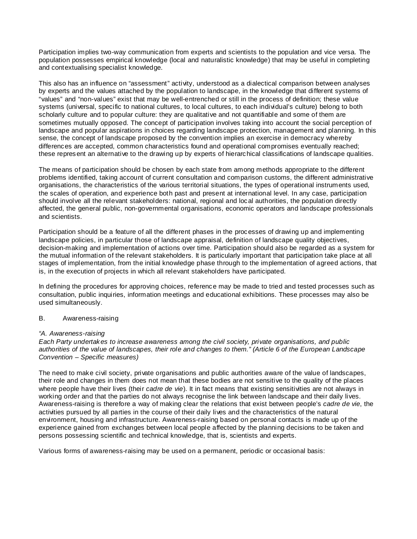Participation implies two-way communication from experts and scientists to the population and vice versa. The population possesses empirical knowledge (local and naturalistic knowledge) that may be useful in completing and contextualising specialist knowledge.

This also has an influence on "assessment" activity, understood as a dialectical comparison between analyses by experts and the values attached by the population to landscape, in the knowledge that different systems of "values" and "non-values" exist that may be well-entrenched or still in the process of definition; these value systems (universal, specific to national cultures, to local cultures, to each individual's culture) belong to both scholarly culture and to popular culture: they are qualitative and not quantifiable and some of them are sometimes mutually opposed. The concept of participation involves taking into account the social perception of landscape and popular aspirations in choices regarding landscape protection, management and planning. In this sense, the concept of landscape proposed by the convention implies an exercise in democracy whereby differences are accepted, common characteristics found and operational compromises eventually reached; these represent an alternative to the drawing up by experts of hierarchical classifications of landscape qualities.

The means of participation should be chosen by each state from among methods appropriate to the different problems identified, taking account of current consultation and comparison customs, the different administrative organisations, the characteristics of the various territorial situations, the types of operational instruments used, the scales of operation, and experience both past and present at international level. In any case, participation should involve all the relevant stakeholders: national, regional and local authorities, the population directly affected, the general public, non-governmental organisations, economic operators and landscape professionals and scientists.

Participation should be a feature of all the different phases in the processes of drawing up and implementing landscape policies, in particular those of landscape appraisal, definition of landscape quality objectives, decision-making and implementation of actions over time. Participation should also be regarded as a system for the mutual information of the relevant stakeholders. It is particularly important that participation take place at all stages of implementation, from the initial knowledge phase through to the implementation of agreed actions, that is, in the execution of projects in which all relevant stakeholders have participated.

In defining the procedures for approving choices, reference may be made to tried and tested processes such as consultation, public inquiries, information meetings and educational exhibitions. These processes may also be used simultaneously.

### B. Awareness-raising

### "A. Awareness-raising

Each Party undertakes to increase awareness among the civil society, private organisations, and public authorities of the value of landscapes, their role and changes to them." (Article 6 of the European Landscape Convention – Specific measures)

The need to make civil society, private organisations and public authorities aware of the value of landscapes, their role and changes in them does not mean that these bodies are not sensitive to the quality of the places where people have their lives (their cadre de vie). It in fact means that existing sensitivities are not always in working order and that the parties do not always recognise the link between landscape and their daily lives. Awareness-raising is therefore a way of making clear the relations that exist between people's cadre de vie, the activities pursued by all parties in the course of their daily lives and the characteristics of the natural environment, housing and infrastructure. Awareness-raising based on personal contacts is made up of the experience gained from exchanges between local people affected by the planning decisions to be taken and persons possessing scientific and technical knowledge, that is, scientists and experts.

Various forms of awareness-raising may be used on a permanent, periodic or occasional basis: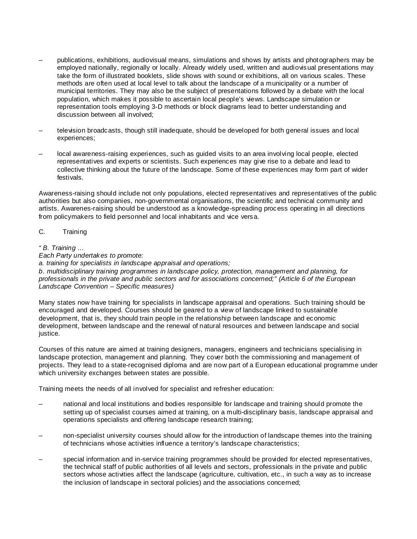- publications, exhibitions, audiovisual means, simulations and shows by artists and photographers may be employed nationally, regionally or locally. Already widely used, written and audiovisual presentations may take the form of illustrated booklets, slide shows with sound or exhibitions, all on various scales. These methods are often used at local level to talk about the landscape of a municipality or a number of municipal territories. They may also be the subject of presentations followed by a debate with the local population, which makes it possible to ascertain local people's views. Landscape simulation or representation tools employing 3-D methods or block diagrams lead to better understanding and discussion between all involved;
- television broadcasts, though still inadequate, should be developed for both general issues and local experiences;
- local awareness-raising experiences, such as guided visits to an area involving local people, elected representatives and experts or scientists. Such experiences may give rise to a debate and lead to collective thinking about the future of the landscape. Some of these experiences may form part of wider festivals.

Awareness-raising should include not only populations, elected representatives and representatives of the public authorities but also companies, non-governmental organisations, the scientific and technical community and artists. Awarenes-raising should be understood as a knowledge-spreading process operating in all directions from policymakers to field personnel and local inhabitants and vice versa.

### C. Training

" B. Training …

Each Party undertakes to promote:

a. training for specialists in landscape appraisal and operations;

b. multidisciplinary training programmes in landscape policy, protection, management and planning, for professionals in the private and public sectors and for associations concerned;" (Article 6 of the European Landscape Convention – Specific measures)

Many states now have training for specialists in landscape appraisal and operations. Such training should be encouraged and developed. Courses should be geared to a view of landscape linked to sustainable development, that is, they should train people in the relationship between landscape and economic development, between landscape and the renewal of natural resources and between landscape and social justice.

Courses of this nature are aimed at training designers, managers, engineers and technicians specialising in landscape protection, management and planning. They cover both the commissioning and management of projects. They lead to a state-recognised diploma and are now part of a European educational programme under which university exchanges between states are possible.

Training meets the needs of all involved for specialist and refresher education:

- national and local institutions and bodies responsible for landscape and training should promote the setting up of specialist courses aimed at training, on a multi-disciplinary basis, landscape appraisal and operations specialists and offering landscape research training;
- non-specialist university courses should allow for the introduction of landscape themes into the training of technicians whose activities influence a territory's landscape characteristics;
- special information and in-service training programmes should be provided for elected representatives, the technical staff of public authorities of all levels and sectors, professionals in the private and public sectors whose activities affect the landscape (agriculture, cultivation, etc., in such a way as to increase the inclusion of landscape in sectoral policies) and the associations concerned;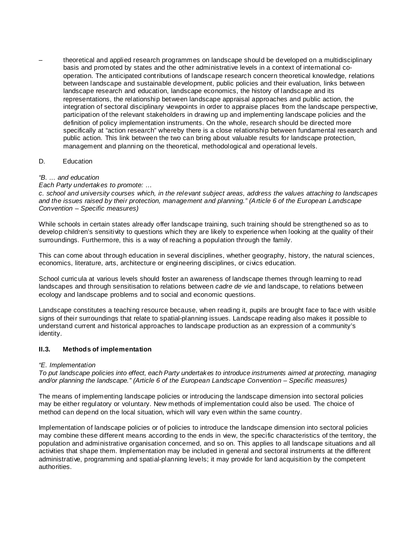– theoretical and applied research programmes on landscape should be developed on a multidisciplinary basis and promoted by states and the other administrative levels in a context of international cooperation. The anticipated contributions of landscape research concern theoretical knowledge, relations between landscape and sustainable development, public policies and their evaluation, links between landscape research and education, landscape economics, the history of landscape and its representations, the relationship between landscape appraisal approaches and public action, the integration of sectoral disciplinary viewpoints in order to appraise places from the landscape perspective, participation of the relevant stakeholders in drawing up and implementing landscape policies and the definition of policy implementation instruments. On the whole, research should be directed more specifically at "action research" whereby there is a close relationship between fundamental research and public action. This link between the two can bring about valuable results for landscape protection, management and planning on the theoretical, methodological and operational levels.

### D. Education

### "B. ... and education

Each Party undertakes to promote: …

c. school and university courses which, in the relevant subject areas, address the values attaching to landscapes and the issues raised by their protection, management and planning." (Article 6 of the European Landscape Convention – Specific measures)

While schools in certain states already offer landscape training, such training should be strengthened so as to develop children's sensitivity to questions which they are likely to experience when looking at the quality of their surroundings. Furthermore, this is a way of reaching a population through the family.

This can come about through education in several disciplines, whether geography, history, the natural sciences, economics, literature, arts, architecture or engineering disciplines, or civics education.

School curricula at various levels should foster an awareness of landscape themes through learning to read landscapes and through sensitisation to relations between *cadre de vie* and landscape, to relations between ecology and landscape problems and to social and economic questions.

Landscape constitutes a teaching resource because, when reading it, pupils are brought face to face with visible signs of their surroundings that relate to spatial-planning issues. Landscape reading also makes it possible to understand current and historical approaches to landscape production as an expression of a community's identity.

### **II.3. Methods of implementation**

### "E. Implementation

To put landscape policies into effect, each Party undertakes to introduce instruments aimed at protecting, managing and/or planning the landscape." (Article 6 of the European Landscape Convention – Specific measures)

The means of implementing landscape policies or introducing the landscape dimension into sectoral policies may be either regulatory or voluntary. New methods of implementation could also be used. The choice of method can depend on the local situation, which will vary even within the same country.

Implementation of landscape policies or of policies to introduce the landscape dimension into sectoral policies may combine these different means according to the ends in view, the specific characteristics of the territory, the population and administrative organisation concerned, and so on. This applies to all landscape situations and all activities that shape them. Implementation may be included in general and sectoral instruments at the different administrative, programming and spatial-planning levels; it may provide for land acquisition by the competent authorities.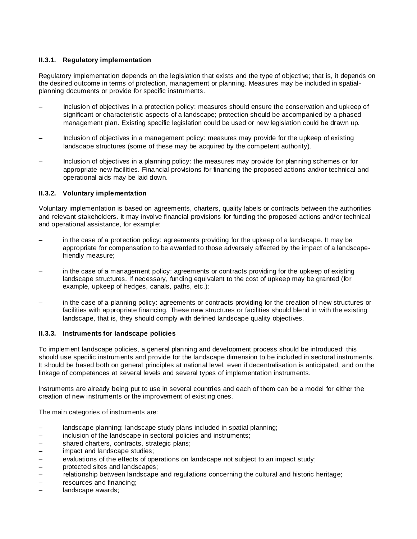## **II.3.1. Regulatory implementation**

Regulatory implementation depends on the legislation that exists and the type of objective; that is, it depends on the desired outcome in terms of protection, management or planning. Measures may be included in spatialplanning documents or provide for specific instruments.

- Inclusion of objectives in a protection policy: measures should ensure the conservation and upkeep of significant or characteristic aspects of a landscape; protection should be accompanied by a phased management plan. Existing specific legislation could be used or new legislation could be drawn up.
- Inclusion of objectives in a management policy: measures may provide for the upkeep of existing landscape structures (some of these may be acquired by the competent authority).
- Inclusion of objectives in a planning policy: the measures may provide for planning schemes or for appropriate new facilities. Financial provisions for financing the proposed actions and/or technical and operational aids may be laid down.

### **II.3.2. Voluntary implementation**

Voluntary implementation is based on agreements, charters, quality labels or contracts between the authorities and relevant stakeholders. It may involve financial provisions for funding the proposed actions and/or technical and operational assistance, for example:

- in the case of a protection policy: agreements providing for the upkeep of a landscape. It may be appropriate for compensation to be awarded to those adversely affected by the impact of a landscapefriendly measure;
- in the case of a management policy: agreements or contracts providing for the upkeep of existing landscape structures. If necessary, funding equivalent to the cost of upkeep may be granted (for example, upkeep of hedges, canals, paths, etc.);
- in the case of a planning policy: agreements or contracts providing for the creation of new structures or facilities with appropriate financing. These new structures or facilities should blend in with the existing landscape, that is, they should comply with defined landscape quality objectives.

### **II.3.3. Instruments for landscape policies**

To implement landscape policies, a general planning and development process should be introduced: this should use specific instruments and provide for the landscape dimension to be included in sectoral instruments. It should be based both on general principles at national level, even if decentralisation is anticipated, and on the linkage of competences at several levels and several types of implementation instruments.

Instruments are already being put to use in several countries and each of them can be a model for either the creation of new instruments or the improvement of existing ones.

The main categories of instruments are:

- landscape planning: landscape study plans included in spatial planning;
- inclusion of the landscape in sectoral policies and instruments;
- shared charters, contracts, strategic plans;
- impact and landscape studies;
- evaluations of the effects of operations on landscape not subject to an impact study;<br>– protected sites and landscapes;
- protected sites and landscapes;
- relationship between landscape and regulations concerning the cultural and historic heritage;
- resources and financing;
- landscape awards;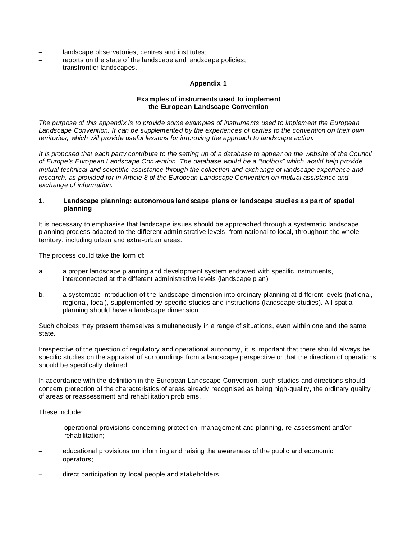- landscape observatories, centres and institutes;
- reports on the state of the landscape and landscape policies;
- transfrontier landscapes.

#### **Appendix 1**

#### **Examples of instruments used to implement the European Landscape Convention**

The purpose of this appendix is to provide some examples of instruments used to implement the European Landscape Convention. It can be supplemented by the experiences of parties to the convention on their own territories, which will provide useful lessons for improving the approach to landscape action.

It is proposed that each party contribute to the setting up of a database to appear on the website of the Council of Europe's European Landscape Convention. The database would be a "toolbox" which would help provide mutual technical and scientific assistance through the collection and exchange of landscape experience and research, as provided for in Article 8 of the European Landscape Convention on mutual assistance and exchange of information.

### **1. Landscape planning: autonomous landscape plans or landscape studies as part of spatial planning**

It is necessary to emphasise that landscape issues should be approached through a systematic landscape planning process adapted to the different administrative levels, from national to local, throughout the whole territory, including urban and extra-urban areas.

The process could take the form of:

- a. a proper landscape planning and development system endowed with specific instruments, interconnected at the different administrative levels (landscape plan);
- b. a systematic introduction of the landscape dimension into ordinary planning at different levels (national, regional, local), supplemented by specific studies and instructions (landscape studies). All spatial planning should have a landscape dimension.

Such choices may present themselves simultaneously in a range of situations, even within one and the same state.

Irrespective of the question of regulatory and operational autonomy, it is important that there should always be specific studies on the appraisal of surroundings from a landscape perspective or that the direction of operations should be specifically defined.

In accordance with the definition in the European Landscape Convention, such studies and directions should concern protection of the characteristics of areas already recognised as being high-quality, the ordinary quality of areas or reassessment and rehabilitation problems.

These include:

- operational provisions concerning protection, management and planning, re-assessment and/or rehabilitation;
- educational provisions on informing and raising the awareness of the public and economic operators;
- direct participation by local people and stakeholders;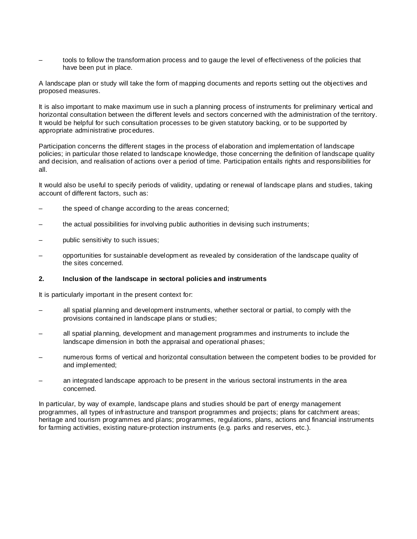– tools to follow the transformation process and to gauge the level of effectiveness of the policies that have been put in place.

A landscape plan or study will take the form of mapping documents and reports setting out the objectives and proposed measures.

It is also important to make maximum use in such a planning process of instruments for preliminary vertical and horizontal consultation between the different levels and sectors concerned with the administration of the territory. It would be helpful for such consultation processes to be given statutory backing, or to be supported by appropriate administrative procedures.

Participation concerns the different stages in the process of elaboration and implementation of landscape policies; in particular those related to landscape knowledge, those concerning the definition of landscape quality and decision, and realisation of actions over a period of time. Participation entails rights and responsibilities for all.

It would also be useful to specify periods of validity, updating or renewal of landscape plans and studies, taking account of different factors, such as:

- the speed of change according to the areas concerned;
- the actual possibilities for involving public authorities in devising such instruments;
- public sensitivity to such issues;
- opportunities for sustainable development as revealed by consideration of the landscape quality of the sites concerned.

#### **2. Inclusion of the landscape in sectoral policies and instruments**

It is particularly important in the present context for:

- all spatial planning and development instruments, whether sectoral or partial, to comply with the provisions contained in landscape plans or studies;
- all spatial planning, development and management programmes and instruments to include the landscape dimension in both the appraisal and operational phases;
- numerous forms of vertical and horizontal consultation between the competent bodies to be provided for and implemented;
- an integrated landscape approach to be present in the various sectoral instruments in the area concerned.

In particular, by way of example, landscape plans and studies should be part of energy management programmes, all types of infrastructure and transport programmes and projects; plans for catchment areas; heritage and tourism programmes and plans; programmes, regulations, plans, actions and financial instruments for farming activities, existing nature-protection instruments (e.g. parks and reserves, etc.).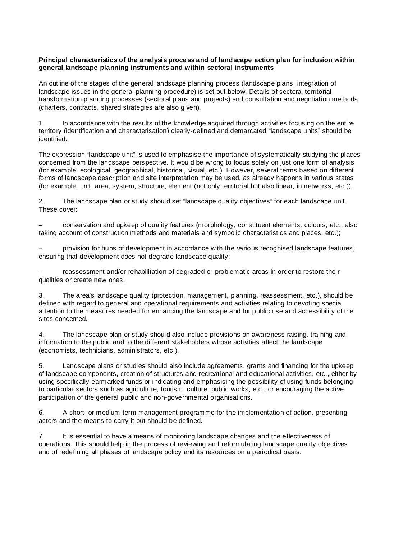#### **Principal characteristics of the analysis process and of landscape action plan for inclusion within general landscape planning instruments and within sectoral instruments**

An outline of the stages of the general landscape planning process (landscape plans, integration of landscape issues in the general planning procedure) is set out below. Details of sectoral territorial transformation planning processes (sectoral plans and projects) and consultation and negotiation methods (charters, contracts, shared strategies are also given).

1. In accordance with the results of the knowledge acquired through activities focusing on the entire territory (identification and characterisation) clearly-defined and demarcated "landscape units" should be identified.

The expression "landscape unit" is used to emphasise the importance of systematically studying the places concerned from the landscape perspective. It would be wrong to focus solely on just one form of analysis (for example, ecological, geographical, historical, visual, etc.). However, several terms based on different forms of landscape description and site interpretation may be used, as already happens in various states (for example, unit, area, system, structure, element (not only territorial but also linear, in networks, etc.)).

2. The landscape plan or study should set "landscape quality objectives" for each landscape unit. These cover:

– conservation and upkeep of quality features (morphology, constituent elements, colours, etc., also taking account of construction methods and materials and symbolic characteristics and places, etc.);

– provision for hubs of development in accordance with the various recognised landscape features, ensuring that development does not degrade landscape quality;

– reassessment and/or rehabilitation of degraded or problematic areas in order to restore their qualities or create new ones.

3. The area's landscape quality (protection, management, planning, reassessment, etc.), should be defined with regard to general and operational requirements and activities relating to devoting special attention to the measures needed for enhancing the landscape and for public use and accessibility of the sites concerned.

4. The landscape plan or study should also include provisions on awareness raising, training and information to the public and to the different stakeholders whose activities affect the landscape (economists, technicians, administrators, etc.).

5. Landscape plans or studies should also include agreements, grants and financing for the upkeep of landscape components, creation of structures and recreational and educational activities, etc., either by using specifically earmarked funds or indicating and emphasising the possibility of using funds belonging to particular sectors such as agriculture, tourism, culture, public works, etc., or encouraging the active participation of the general public and non-governmental organisations.

6. A short- or medium-term management programme for the implementation of action, presenting actors and the means to carry it out should be defined.

7. It is essential to have a means of monitoring landscape changes and the effectiveness of operations. This should help in the process of reviewing and reformulating landscape quality objectives and of redefining all phases of landscape policy and its resources on a periodical basis.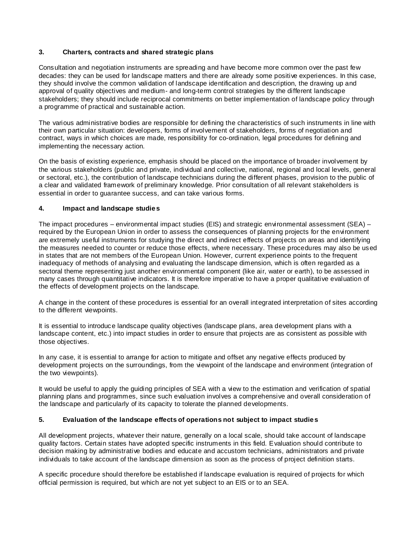# **3. Charters, contracts and shared strategic plans**

Consultation and negotiation instruments are spreading and have become more common over the past few decades: they can be used for landscape matters and there are already some positive experiences. In this case, they should involve the common validation of landscape identification and description, the drawing up and approval of quality objectives and medium- and long-term control strategies by the different landscape stakeholders; they should include reciprocal commitments on better implementation of landscape policy through a programme of practical and sustainable action.

The various administrative bodies are responsible for defining the characteristics of such instruments in line with their own particular situation: developers, forms of involvement of stakeholders, forms of negotiation and contract, ways in which choices are made, responsibility for co-ordination, legal procedures for defining and implementing the necessary action.

On the basis of existing experience, emphasis should be placed on the importance of broader involvement by the various stakeholders (public and private, individual and collective, national, regional and local levels, general or sectoral, etc.), the contribution of landscape technicians during the different phases, provision to the public of a clear and validated framework of preliminary knowledge. Prior consultation of all relevant stakeholders is essential in order to guarantee success, and can take various forms.

### **4. Impact and landscape studies**

The impact procedures – environmental impact studies (EIS) and strategic environmental assessment (SEA) – required by the European Union in order to assess the consequences of planning projects for the environment are extremely useful instruments for studying the direct and indirect effects of projects on areas and identifying the measures needed to counter or reduce those effects, where necessary. These procedures may also be used in states that are not members of the European Union. However, current experience points to the frequent inadequacy of methods of analysing and evaluating the landscape dimension, which is often regarded as a sectoral theme representing just another environmental component (like air, water or earth), to be assessed in many cases through quantitative indicators. It is therefore imperative to have a proper qualitative evaluation of the effects of development projects on the landscape.

A change in the content of these procedures is essential for an overall integrated interpretation of sites according to the different viewpoints.

It is essential to introduce landscape quality objectives (landscape plans, area development plans with a landscape content, etc.) into impact studies in order to ensure that projects are as consistent as possible with those objectives.

In any case, it is essential to arrange for action to mitigate and offset any negative effects produced by development projects on the surroundings, from the viewpoint of the landscape and environment (integration of the two viewpoints).

It would be useful to apply the guiding principles of SEA with a view to the estimation and verification of spatial planning plans and programmes, since such evaluation involves a comprehensive and overall consideration of the landscape and particularly of its capacity to tolerate the planned developments.

### **5. Evaluation of the landscape effects of operations not subject to impact studies**

All development projects, whatever their nature, generally on a local scale, should take account of landscape quality factors. Certain states have adopted specific instruments in this field. Evaluation should contribute to decision making by administrative bodies and educate and accustom technicians, administrators and private individuals to take account of the landscape dimension as soon as the process of project definition starts.

A specific procedure should therefore be established if landscape evaluation is required of projects for which official permission is required, but which are not yet subject to an EIS or to an SEA.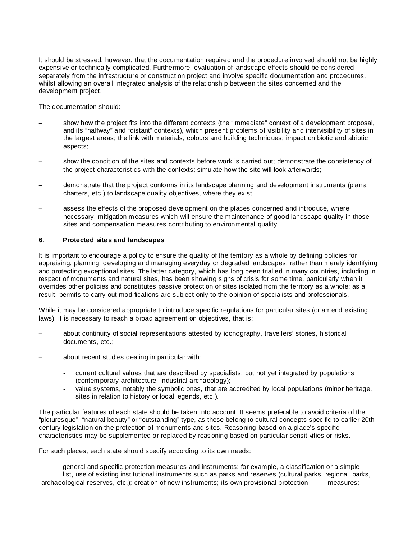It should be stressed, however, that the documentation required and the procedure involved should not be highly expensive or technically complicated. Furthermore, evaluation of landscape effects should be considered separately from the infrastructure or construction project and involve specific documentation and procedures, whilst allowing an overall integrated analysis of the relationship between the sites concerned and the development project.

The documentation should:

- show how the project fits into the different contexts (the "immediate" context of a development proposal, and its "halfway" and "distant" contexts), which present problems of visibility and intervisibility of sites in the largest areas; the link with materials, colours and building techniques; impact on biotic and abiotic aspects;
- show the condition of the sites and contexts before work is carried out; demonstrate the consistency of the project characteristics with the contexts; simulate how the site will look afterwards;
- demonstrate that the project conforms in its landscape planning and development instruments (plans, charters, etc.) to landscape quality objectives, where they exist;
- assess the effects of the proposed development on the places concerned and introduce, where necessary, mitigation measures which will ensure the maintenance of good landscape quality in those sites and compensation measures contributing to environmental quality.

### **6. Protected sites and landscapes**

It is important to encourage a policy to ensure the quality of the territory as a whole by defining policies for appraising, planning, developing and managing everyday or degraded landscapes, rather than merely identifying and protecting exceptional sites. The latter category, which has long been trialled in many countries, including in respect of monuments and natural sites, has been showing signs of crisis for some time, particularly when it overrides other policies and constitutes passive protection of sites isolated from the territory as a whole; as a result, permits to carry out modifications are subject only to the opinion of specialists and professionals.

While it may be considered appropriate to introduce specific regulations for particular sites (or amend existing laws), it is necessary to reach a broad agreement on objectives, that is:

- about continuity of social representations attested by iconography, travellers' stories, historical documents, etc.;
- about recent studies dealing in particular with:
	- current cultural values that are described by specialists, but not yet integrated by populations (contemporary architecture, industrial archaeology);
	- value systems, notably the symbolic ones, that are accredited by local populations (minor heritage, sites in relation to history or local legends, etc.).

The particular features of each state should be taken into account. It seems preferable to avoid criteria of the "pictures que", "natural beauty" or "outstanding" type, as these belong to cultural concepts specific to earlier 20thcentury legislation on the protection of monuments and sites. Reasoning based on a place's specific characteristics may be supplemented or replaced by reasoning based on particular sensitivities or risks.

For such places, each state should specify according to its own needs:

– general and specific protection measures and instruments: for example, a classification or a simple list, use of existing institutional instruments such as parks and reserves (cultural parks, regional parks, archaeological reserves, etc.); creation of new instruments; its own provisional protection measures;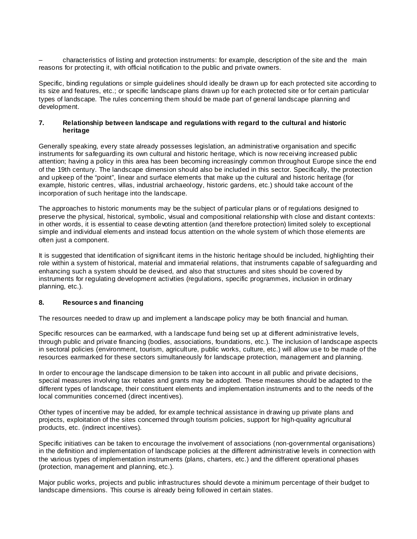– characteristics of listing and protection instruments: for example, description of the site and the main reasons for protecting it, with official notification to the public and private owners.

Specific, binding regulations or simple guidelines should ideally be drawn up for each protected site according to its size and features, etc.; or specific landscape plans drawn up for each protected site or for certain particular types of landscape. The rules concerning them should be made part of general landscape planning and development.

### **7. Relationship between landscape and regulations with regard to the cultural and historic heritage**

Generally speaking, every state already possesses legislation, an administrative organisation and specific instruments for safeguarding its own cultural and historic heritage, which is now receiving increased public attention; having a policy in this area has been becoming increasingly common throughout Europe since the end of the 19th century. The landscape dimension should also be included in this sector. Specifically, the protection and upkeep of the "point", linear and surface elements that make up the cultural and historic heritage (for example, historic centres, villas, industrial archaeology, historic gardens, etc.) should take account of the incorporation of such heritage into the landscape.

The approaches to historic monuments may be the subject of particular plans or of regulations designed to preserve the physical, historical, symbolic, visual and compositional relationship with close and distant contexts: in other words, it is essential to cease devoting attention (and therefore protection) limited solely to exceptional simple and individual elements and instead focus attention on the whole system of which those elements are often just a component.

It is suggested that identification of significant items in the historic heritage should be included, highlighting their role within a system of historical, material and immaterial relations, that instruments capable of safeguarding and enhancing such a system should be devised, and also that structures and sites should be covered by instruments for regulating development activities (regulations, specific programmes, inclusion in ordinary planning, etc.).

# **8. Resources and financing**

The resources needed to draw up and implement a landscape policy may be both financial and human.

Specific resources can be earmarked, with a landscape fund being set up at different administrative levels, through public and private financing (bodies, associations, foundations, etc.). The inclusion of landscape aspects in sectoral policies (environment, tourism, agriculture, public works, culture, etc.) will allow use to be made of the resources earmarked for these sectors simultaneously for landscape protection, management and planning.

In order to encourage the landscape dimension to be taken into account in all public and private decisions, special measures involving tax rebates and grants may be adopted. These measures should be adapted to the different types of landscape, their constituent elements and implementation instruments and to the needs of the local communities concerned (direct incentives).

Other types of incentive may be added, for example technical assistance in drawing up private plans and projects, exploitation of the sites concerned through tourism policies, support for high-quality agricultural products, etc. (indirect incentives).

Specific initiatives can be taken to encourage the involvement of associations (non-governmental organisations) in the definition and implementation of landscape policies at the different administrative levels in connection with the various types of implementation instruments (plans, charters, etc.) and the different operational phases (protection, management and planning, etc.).

Major public works, projects and public infrastructures should devote a minimum percentage of their budget to landscape dimensions. This course is already being followed in certain states.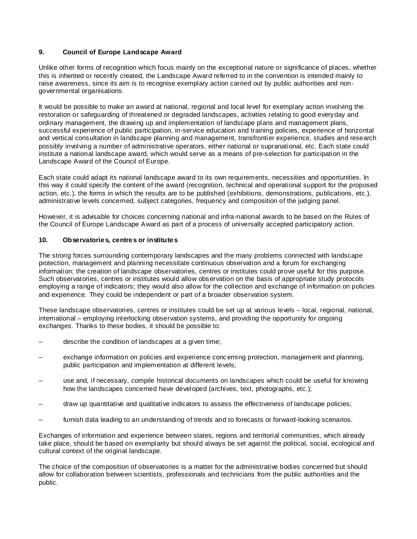# **9. Council of Europe Landscape Award**

Unlike other forms of recognition which focus mainly on the exceptional nature or significance of places, whether this is inherited or recently created, the Landscape Award referred to in the convention is intended mainly to raise awareness, since its aim is to recognise exemplary action carried out by public authorities and nongovernmental organisations.

It would be possible to make an award at national, regional and local level for exemplary action involving the restoration or safeguarding of threatened or degraded landscapes, activities relating to good everyday and ordinary management, the drawing up and implementation of landscape plans and management plans, successful experience of public participation, in-service education and training policies, experience of horizontal and vertical consultation in landscape planning and management, transfrontier experience, studies and research possibly involving a number of administrative operators, either national or supranational, etc. Each state could institute a national landscape award, which would serve as a means of pre-selection for participation in the Landscape Award of the Council of Europe.

Each state could adapt its national landscape award to its own requirements, necessities and opportunities. In this way it could specify the content of the award (recognition, technical and operational support for the proposed action, etc.), the forms in which the results are to be published (exhibitions, demonstrations, publications, etc.), administrative levels concerned, subject categories, frequency and composition of the judging panel.

However, it is advisable for choices concerning national and infra-national awards to be based on the Rules of the Council of Europe Landscape Award as part of a process of universally accepted participatory action.

### **10. Observatories, centres or institutes**

The strong forces surrounding contemporary landscapes and the many problems connected with landscape protection, management and planning necessitate continuous observation and a forum for exchanging information; the creation of landscape observatories, centres or institutes could prove useful for this purpose. Such observatories, centres or institutes would allow observation on the basis of appropriate study protocols employing a range of indicators; they would also allow for the collection and exchange of information on policies and experience. They could be independent or part of a broader observation system.

These landscape observatories, centres or institutes could be set up at various levels – local, regional, national, international – employing interlocking observation systems, and providing the opportunity for ongoing exchanges. Thanks to these bodies, it should be possible to:

- describe the condition of landscapes at a given time;
- exchange information on policies and experience concerning protection, management and planning, public participation and implementation at different levels;
- use and, if necessary, compile historical documents on landscapes which could be useful for knowing how the landscapes concerned have developed (archives, text, photographs, etc.);
- draw up quantitative and qualitative indicators to assess the effectiveness of landscape policies;
- furnish data leading to an understanding of trends and to forecasts or forward-looking scenarios.

Exchanges of information and experience between states, regions and territorial communities, which already take place, should be based on exemplarity but should always be set against the political, social, ecological and cultural context of the original landscape.

The choice of the composition of observatories is a matter for the administrative bodies concerned but should allow for collaboration between scientists, professionals and technicians from the public authorities and the public.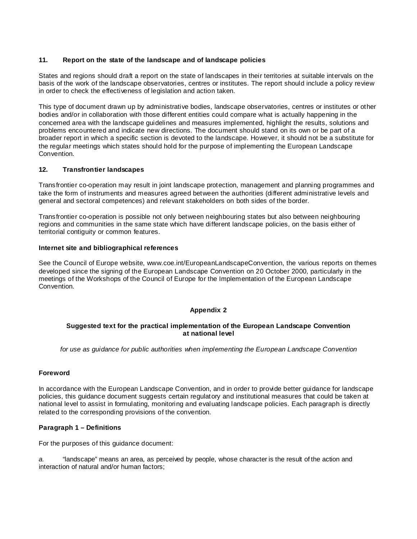### **11. Report on the state of the landscape and of landscape policies**

States and regions should draft a report on the state of landscapes in their territories at suitable intervals on the basis of the work of the landscape observatories, centres or institutes. The report should include a policy review in order to check the effectiveness of legislation and action taken.

This type of document drawn up by administrative bodies, landscape observatories, centres or institutes or other bodies and/or in collaboration with those different entities could compare what is actually happening in the concerned area with the landscape guidelines and measures implemented, highlight the results, solutions and problems encountered and indicate new directions. The document should stand on its own or be part of a broader report in which a specific section is devoted to the landscape. However, it should not be a substitute for the regular meetings which states should hold for the purpose of implementing the European Landscape Convention.

### **12. Transfrontier landscapes**

Transfrontier co-operation may result in joint landscape protection, management and planning programmes and take the form of instruments and measures agreed between the authorities (different administrative levels and general and sectoral competences) and relevant stakeholders on both sides of the border.

Transfrontier co-operation is possible not only between neighbouring states but also between neighbouring regions and communities in the same state which have different landscape policies, on the basis either of territorial contiguity or common features.

### **Internet site and bibliographical references**

See the Council of Europe website, www.coe.int/EuropeanLandscapeConvention, the various reports on themes developed since the signing of the European Landscape Convention on 20 October 2000, particularly in the meetings of the Workshops of the Council of Europe for the Implementation of the European Landscape Convention.

### **Appendix 2**

### **Suggested text for the practical implementation of the European Landscape Convention at national level**

for use as guidance for public authorities when implementing the European Landscape Convention

### **Foreword**

In accordance with the European Landscape Convention, and in order to provide better guidance for landscape policies, this guidance document suggests certain regulatory and institutional measures that could be taken at national level to assist in formulating, monitoring and evaluating landscape policies. Each paragraph is directly related to the corresponding provisions of the convention.

### **Paragraph 1 – Definitions**

For the purposes of this guidance document:

a. "landscape" means an area, as perceived by people, whose character is the result of the action and interaction of natural and/or human factors;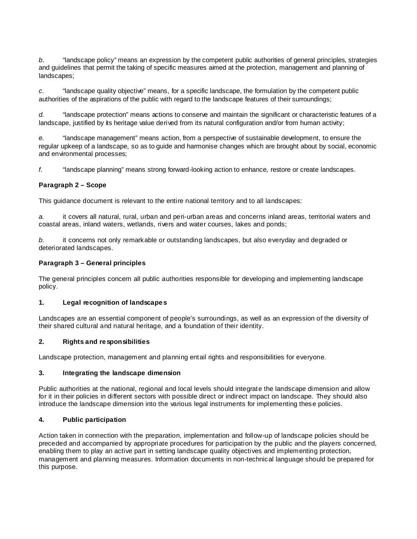b. "landscape policy" means an expression by the competent public authorities of general principles, strategies and guidelines that permit the taking of specific measures aimed at the protection, management and planning of landscapes;

c. "landscape quality objective" means, for a specific landscape, the formulation by the competent public authorities of the aspirations of the public with regard to the landscape features of their surroundings;

d. "landscape protection" means actions to conserve and maintain the significant or characteristic features of a landscape, justified by its heritage value derived from its natural configuration and/or from human activity;

e. "landscape management" means action, from a perspective of sustainable development, to ensure the regular upkeep of a landscape, so as to guide and harmonise changes which are brought about by social, economic and environmental processes;

f. "landscape planning" means strong forward-looking action to enhance, restore or create landscapes.

#### **Paragraph 2 – Scope**

This guidance document is relevant to the entire national territory and to all landscapes:

a. it covers all natural, rural, urban and peri-urban areas and concerns inland areas, territorial waters and coastal areas, inland waters, wetlands, rivers and water courses, lakes and ponds;

b. it concerns not only remarkable or outstanding landscapes, but also everyday and degraded or deteriorated landscapes.

#### **Paragraph 3 – General principles**

The general principles concern all public authorities responsible for developing and implementing landscape policy.

#### **1. Legal recognition of landscapes**

Landscapes are an essential component of people's surroundings, as well as an expression of the diversity of their shared cultural and natural heritage, and a foundation of their identity.

#### **2. Rights and responsibilities**

Landscape protection, management and planning entail rights and responsibilities for everyone.

#### **3. Integrating the landscape dimension**

Public authorities at the national, regional and local levels should integrate the landscape dimension and allow for it in their policies in different sectors with possible direct or indirect impact on landscape. They should also introduce the landscape dimension into the various legal instruments for implementing these policies.

### **4. Public participation**

Action taken in connection with the preparation, implementation and follow-up of landscape policies should be preceded and accompanied by appropriate procedures for participation by the public and the players concerned, enabling them to play an active part in setting landscape quality objectives and implementing protection, management and planning measures. Information documents in non-technical language should be prepared for this purpose.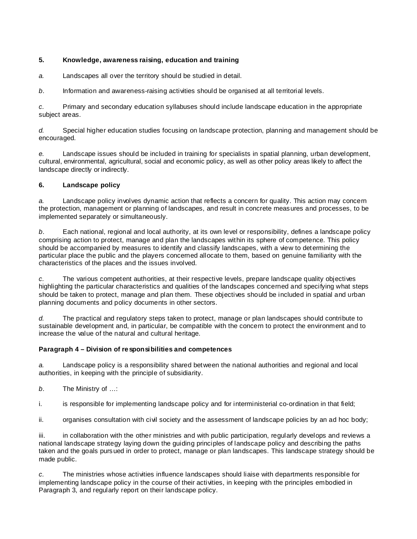# **5. Knowledge, awareness raising, education and training**

a. Landscapes all over the territory should be studied in detail.

b. Information and awareness-raising activities should be organised at all territorial levels.

c. Primary and secondary education syllabuses should include landscape education in the appropriate subject areas.

d. Special higher education studies focusing on landscape protection, planning and management should be encouraged.

e. Landscape issues should be included in training for specialists in spatial planning, urban development, cultural, environmental, agricultural, social and economic policy, as well as other policy areas likely to affect the landscape directly or indirectly.

# **6. Landscape policy**

a. Landscape policy involves dynamic action that reflects a concern for quality. This action may concern the protection, management or planning of landscapes, and result in concrete measures and processes, to be implemented separately or simultaneously.

b. Each national, regional and local authority, at its own level or responsibility, defines a landscape policy comprising action to protect, manage and plan the landscapes within its sphere of competence. This policy should be accompanied by measures to identify and classify landscapes, with a view to determining the particular place the public and the players concerned allocate to them, based on genuine familiarity with the characteristics of the places and the issues involved.

 $c.$  The various competent authorities, at their respective levels, prepare landscape quality objectives highlighting the particular characteristics and qualities of the landscapes concerned and specifying what steps should be taken to protect, manage and plan them. These objectives should be included in spatial and urban planning documents and policy documents in other sectors.

 $d.$  The practical and regulatory steps taken to protect, manage or plan landscapes should contribute to sustainable development and, in particular, be compatible with the concern to protect the environment and to increase the value of the natural and cultural heritage.

# **Paragraph 4 – Division of responsibilities and competences**

a. Landscape policy is a responsibility shared between the national authorities and regional and local authorities, in keeping with the principle of subsidiarity.

b. The Ministry of …:

i. is responsible for implementing landscape policy and for interministerial co-ordination in that field;

ii. organises consultation with civil society and the assessment of landscape policies by an ad hoc body;

iii. in collaboration with the other ministries and with public participation, regularly develops and reviews a national landscape strategy laying down the guiding principles of landscape policy and describing the paths taken and the goals pursued in order to protect, manage or plan landscapes. This landscape strategy should be made public.

c. The ministries whose activities influence landscapes should liaise with departments responsible for implementing landscape policy in the course of their activities, in keeping with the principles embodied in Paragraph 3, and regularly report on their landscape policy.